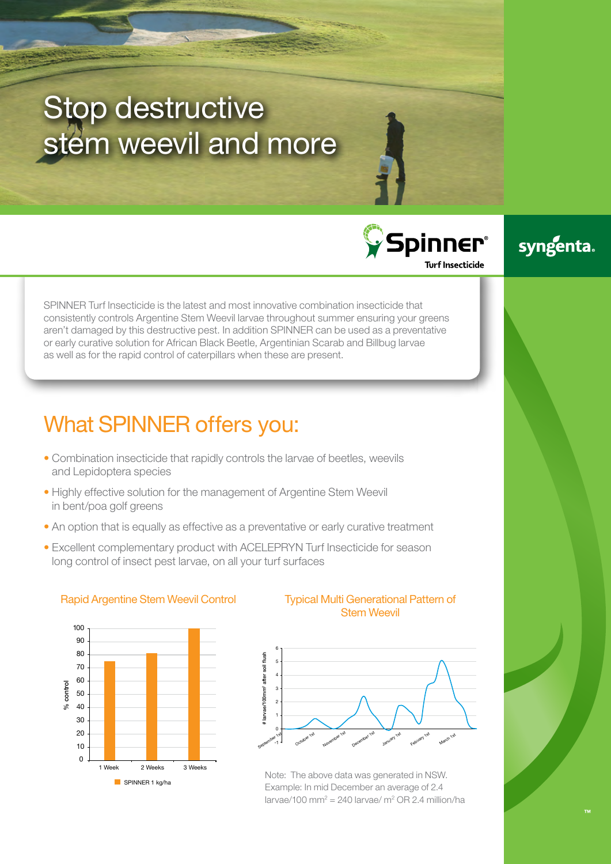# Stop destructive stem weevil and more

Spinner® **Turf Insecticide** 

syngenta.

SPINNER Turf Insecticide is the latest and most innovative combination insecticide that consistently controls Argentine Stem Weevil larvae throughout summer ensuring your greens aren't damaged by this destructive pest. In addition SPINNER can be used as a preventative or early curative solution for African Black Beetle, Argentinian Scarab and Billbug larvae as well as for the rapid control of caterpillars when these are present.

## What SPINNER offers you:

- Combination insecticide that rapidly controls the larvae of beetles, weevils and Lepidoptera species
- Highly effective solution for the management of Argentine Stem Weevil in bent/poa golf greens
- An option that is equally as effective as a preventative or early curative treatment
- Excellent complementary product with ACELEPRYN Turf Insecticide for season long control of insect pest larvae, on all your turf surfaces



### Stem Weevil Rapid Argentine Stem Weevil Control Typical Multi Generational Pattern of



Note: The above data was generated in NSW. Example: In mid December an average of 2.4  $larvae/100$  mm<sup>2</sup> = 240 larvae/ m<sup>2</sup> OR 2.4 million/ha